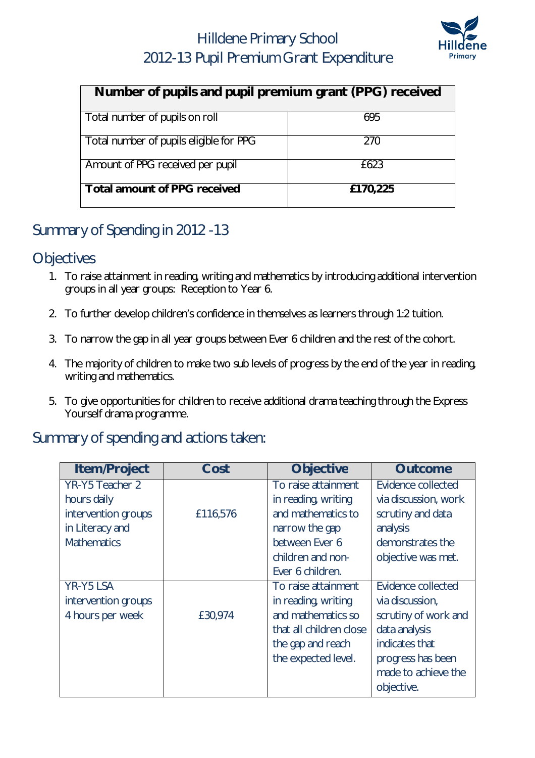## Hilldene Primary School 2012-13 Pupil Premium Grant Expenditure



| Number of pupils and pupil premium grant (PPG) received |          |  |  |
|---------------------------------------------------------|----------|--|--|
| Total number of pupils on roll                          | 695      |  |  |
| Total number of pupils eligible for PPG                 | 270      |  |  |
| Amount of PPG received per pupil                        | £623     |  |  |
| <b>Total amount of PPG received</b>                     | £170,225 |  |  |

### Summary of Spending in 2012 -13

#### **Objectives**

- 1. To raise attainment in reading, writing and mathematics by introducing additional intervention groups in all year groups: Reception to Year 6.
- 2. To further develop children's confidence in themselves as learners through 1:2 tuition.
- 3. To narrow the gap in all year groups between Ever 6 children and the rest of the cohort.
- 4. The majority of children to make two sub levels of progress by the end of the year in reading, writing and mathematics.
- 5. To give opportunities for children to receive additional drama teaching through the Express Yourself drama programme.

#### Summary of spending and actions taken:

| <b>Item/Project</b> | Cost     | <b>Objective</b>        | <b>Outcome</b>       |
|---------------------|----------|-------------------------|----------------------|
| YR-Y5 Teacher 2     |          | To raise attainment     | Evidence collected   |
| hours daily         |          | in reading, writing     | via discussion, work |
| intervention groups | £116,576 | and mathematics to      | scrutiny and data    |
| in Literacy and     |          | narrow the gap          | analysis             |
| <b>Mathematics</b>  |          | between Ever 6          | demonstrates the     |
|                     |          | children and non-       | objective was met.   |
|                     |          | Ever 6 children.        |                      |
| <b>YR-Y5 LSA</b>    |          | To raise attainment     | Evidence collected   |
| intervention groups |          | in reading, writing     | via discussion,      |
| 4 hours per week    | £30,974  | and mathematics so      | scrutiny of work and |
|                     |          | that all children close | data analysis        |
|                     |          | the gap and reach       | indicates that       |
|                     |          | the expected level.     | progress has been    |
|                     |          |                         | made to achieve the  |
|                     |          |                         | objective.           |